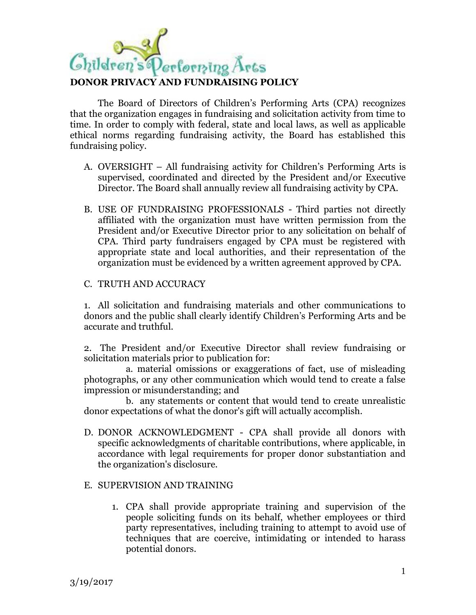

The Board of Directors of Children's Performing Arts (CPA) recognizes that the organization engages in fundraising and solicitation activity from time to time. In order to comply with federal, state and local laws, as well as applicable ethical norms regarding fundraising activity, the Board has established this fundraising policy.

- A. OVERSIGHT All fundraising activity for Children's Performing Arts is supervised, coordinated and directed by the President and/or Executive Director. The Board shall annually review all fundraising activity by CPA.
- B. USE OF FUNDRAISING PROFESSIONALS Third parties not directly affiliated with the organization must have written permission from the President and/or Executive Director prior to any solicitation on behalf of CPA. Third party fundraisers engaged by CPA must be registered with appropriate state and local authorities, and their representation of the organization must be evidenced by a written agreement approved by CPA.
- C. TRUTH AND ACCURACY

1. All solicitation and fundraising materials and other communications to donors and the public shall clearly identify Children's Performing Arts and be accurate and truthful.

2. The President and/or Executive Director shall review fundraising or solicitation materials prior to publication for:

a. material omissions or exaggerations of fact, use of misleading photographs, or any other communication which would tend to create a false impression or misunderstanding; and

b. any statements or content that would tend to create unrealistic donor expectations of what the donor's gift will actually accomplish.

D. DONOR ACKNOWLEDGMENT - CPA shall provide all donors with specific acknowledgments of charitable contributions, where applicable, in accordance with legal requirements for proper donor substantiation and the organization's disclosure.

## E. SUPERVISION AND TRAINING

1. CPA shall provide appropriate training and supervision of the people soliciting funds on its behalf, whether employees or third party representatives, including training to attempt to avoid use of techniques that are coercive, intimidating or intended to harass potential donors.